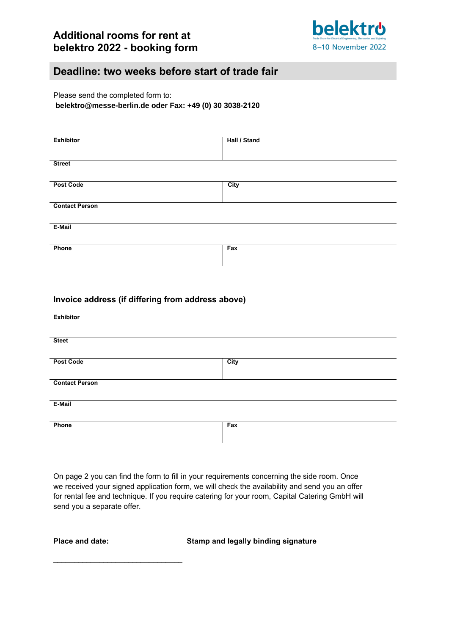

## **Deadline: two weeks before start of trade fair**

Please send the completed form to: **belektro@messe-berlin.de oder Fax: +49 (0) 30 3038-2120**

| <b>Exhibitor</b>      | Hall / Stand |  |
|-----------------------|--------------|--|
| <b>Street</b>         |              |  |
| <b>Post Code</b>      | City         |  |
| <b>Contact Person</b> |              |  |
| E-Mail                |              |  |
| Phone                 | Fax          |  |

| Invoice address (if differing from address above) |      |  |
|---------------------------------------------------|------|--|
| <b>Exhibitor</b>                                  |      |  |
|                                                   |      |  |
| <b>Steet</b>                                      |      |  |
| <b>Post Code</b>                                  | City |  |
|                                                   |      |  |
| <b>Contact Person</b>                             |      |  |
| E-Mail                                            |      |  |
| Phone                                             | Fax  |  |
|                                                   |      |  |

On page 2 you can find the form to fill in your requirements concerning the side room. Once we received your signed application form, we will check the availability and send you an offer for rental fee and technique. If you require catering for your room, Capital Catering GmbH will send you a separate offer.

\_\_\_\_\_\_\_\_\_\_\_\_\_\_\_\_\_\_\_\_\_\_\_\_\_\_\_\_\_\_\_

**Place and date: Stamp and legally binding signature**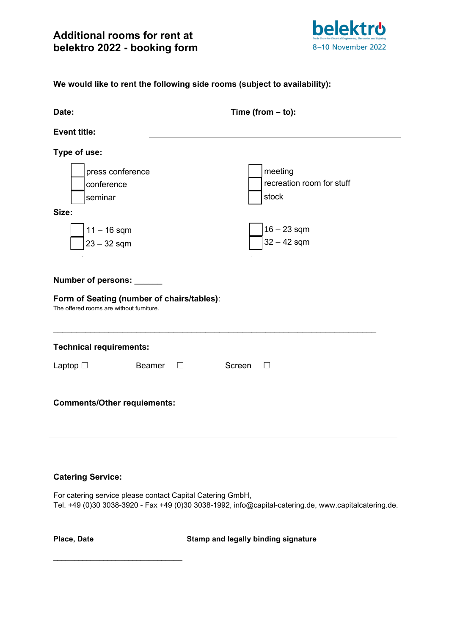

**We would like to rent the following side rooms (subject to availability):**

| Date:                                                                                  | Time (from $-$ to):                           |  |
|----------------------------------------------------------------------------------------|-----------------------------------------------|--|
| <b>Event title:</b>                                                                    |                                               |  |
| Type of use:                                                                           |                                               |  |
| press conference<br>conference<br>seminar<br>Size:                                     | meeting<br>recreation room for stuff<br>stock |  |
| $11 - 16$ sqm<br>$23 - 32$ sqm                                                         | $16 - 23$ sqm<br>$32 - 42$ sqm                |  |
| Number of persons: ______                                                              |                                               |  |
| Form of Seating (number of chairs/tables):<br>The offered rooms are without furniture. |                                               |  |
| <b>Technical requirements:</b>                                                         |                                               |  |
| Laptop $\square$<br>Beamer<br>$\Box$                                                   | Screen<br>$\Box$                              |  |
| <b>Comments/Other requiements:</b>                                                     |                                               |  |
|                                                                                        |                                               |  |

### **Catering Service:**

\_\_\_\_\_\_\_\_\_\_\_\_\_\_\_\_\_\_\_\_\_\_\_\_\_\_\_\_\_\_\_

For catering service please contact Capital Catering GmbH, Tel. +49 (0)30 3038-3920 - Fax +49 (0)30 30[38-1992, info@capital-cat](mailto:info@capital-catering.de)[ering.de, www.capitalcate](http://www.capital-catering.de/)ring.de.

**Place, Date Stamp and legally binding signature**